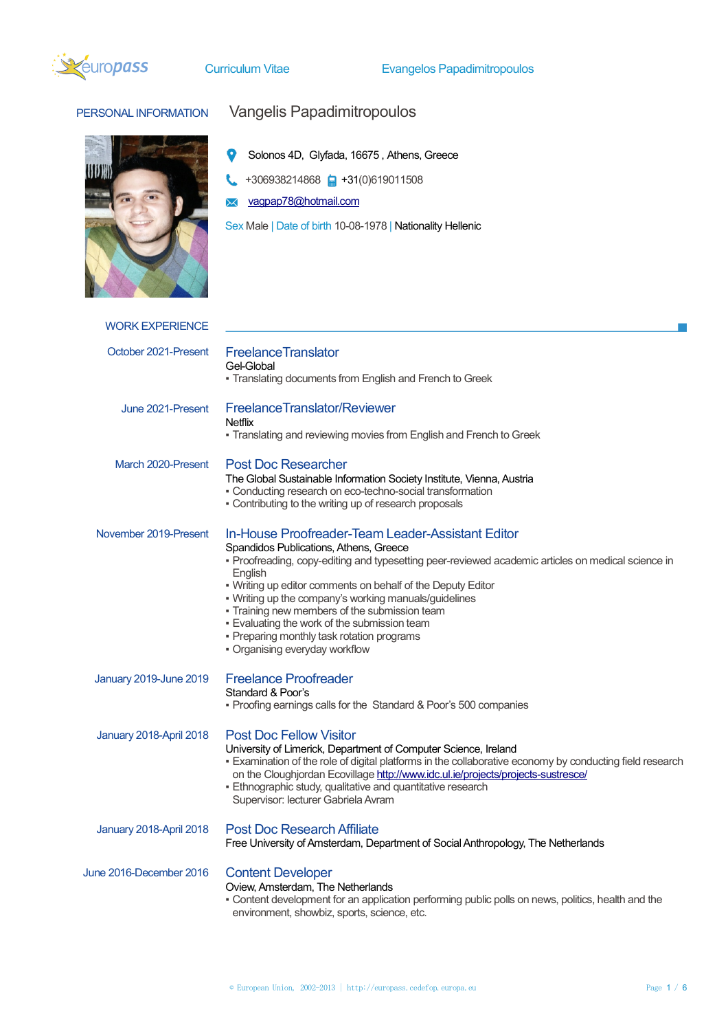

PERSONAL INFORMATION Vangelis Papadimitropoulos

|                         | Solonos 4D, Glyfada, 16675, Athens, Greece<br>+306938214868 +31(0)619011508<br>vagpap78@hotmail.com<br>Sex Male   Date of birth 10-08-1978   Nationality Hellenic                                                                                                                                                                                                                                                                                                                                                     |
|-------------------------|-----------------------------------------------------------------------------------------------------------------------------------------------------------------------------------------------------------------------------------------------------------------------------------------------------------------------------------------------------------------------------------------------------------------------------------------------------------------------------------------------------------------------|
| <b>WORK EXPERIENCE</b>  |                                                                                                                                                                                                                                                                                                                                                                                                                                                                                                                       |
| October 2021-Present    | <b>FreelanceTranslator</b><br>Gel-Global<br>• Translating documents from English and French to Greek                                                                                                                                                                                                                                                                                                                                                                                                                  |
| June 2021-Present       | FreelanceTranslator/Reviewer<br><b>Netflix</b><br>• Translating and reviewing movies from English and French to Greek                                                                                                                                                                                                                                                                                                                                                                                                 |
| March 2020-Present      | <b>Post Doc Researcher</b><br>The Global Sustainable Information Society Institute, Vienna, Austria<br>• Conducting research on eco-techno-social transformation<br>- Contributing to the writing up of research proposals                                                                                                                                                                                                                                                                                            |
| November 2019-Present   | In-House Proofreader-Team Leader-Assistant Editor<br>Spandidos Publications, Athens, Greece<br>• Proofreading, copy-editing and typesetting peer-reviewed academic articles on medical science in<br>English<br>. Writing up editor comments on behalf of the Deputy Editor<br>. Writing up the company's working manuals/guidelines<br>- Training new members of the submission team<br>. Evaluating the work of the submission team<br>- Preparing monthly task rotation programs<br>• Organising everyday workflow |
| January 2019-June 2019  | <b>Freelance Proofreader</b><br>Standard & Poor's<br>• Proofing earnings calls for the Standard & Poor's 500 companies                                                                                                                                                                                                                                                                                                                                                                                                |
| January 2018-April 2018 | <b>Post Doc Fellow Visitor</b><br>University of Limerick, Department of Computer Science, Ireland<br>- Examination of the role of digital platforms in the collaborative economy by conducting field research<br>on the Cloughjordan Ecovillage http://www.idc.ul.ie/projects/projects-sustresce/<br>· Ethnographic study, qualitative and quantitative research<br>Supervisor: lecturer Gabriela Avram                                                                                                               |
| January 2018-April 2018 | <b>Post Doc Research Affiliate</b><br>Free University of Amsterdam, Department of Social Anthropology, The Netherlands                                                                                                                                                                                                                                                                                                                                                                                                |
| June 2016-December 2016 | <b>Content Developer</b><br>Oview, Amsterdam, The Netherlands<br>- Content development for an application performing public polls on news, politics, health and the<br>environment, showbiz, sports, science, etc.                                                                                                                                                                                                                                                                                                    |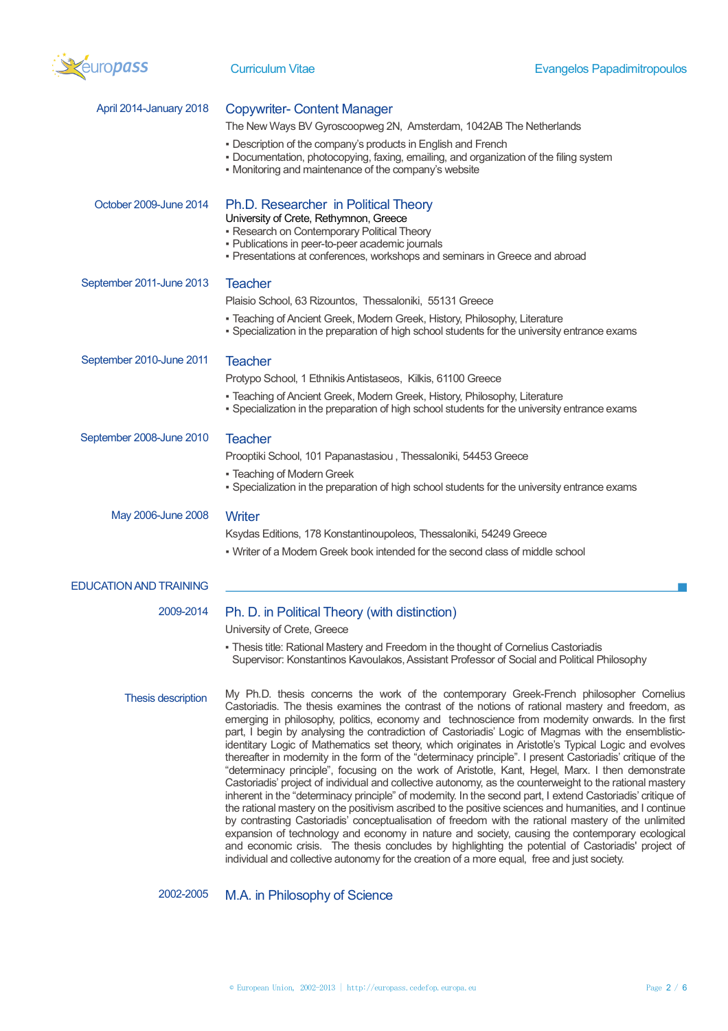

| April 2014-January 2018       | <b>Copywriter- Content Manager</b>                                                                                                                                                                                                                                                                                                                                                                                                                                                                                                                                                                                                                                                                                                                                                                                                                                                                                                                                                                                                                                                                                                                                                                                                                                                                                                                                                                                                                                                      |
|-------------------------------|-----------------------------------------------------------------------------------------------------------------------------------------------------------------------------------------------------------------------------------------------------------------------------------------------------------------------------------------------------------------------------------------------------------------------------------------------------------------------------------------------------------------------------------------------------------------------------------------------------------------------------------------------------------------------------------------------------------------------------------------------------------------------------------------------------------------------------------------------------------------------------------------------------------------------------------------------------------------------------------------------------------------------------------------------------------------------------------------------------------------------------------------------------------------------------------------------------------------------------------------------------------------------------------------------------------------------------------------------------------------------------------------------------------------------------------------------------------------------------------------|
|                               | The New Ways BV Gyroscoopweg 2N, Amsterdam, 1042AB The Netherlands                                                                                                                                                                                                                                                                                                                                                                                                                                                                                                                                                                                                                                                                                                                                                                                                                                                                                                                                                                                                                                                                                                                                                                                                                                                                                                                                                                                                                      |
|                               | • Description of the company's products in English and French<br>- Documentation, photocopying, faxing, emailing, and organization of the filing system<br>• Monitoring and maintenance of the company's website                                                                                                                                                                                                                                                                                                                                                                                                                                                                                                                                                                                                                                                                                                                                                                                                                                                                                                                                                                                                                                                                                                                                                                                                                                                                        |
| October 2009-June 2014        | Ph.D. Researcher in Political Theory<br>University of Crete, Rethymnon, Greece<br>• Research on Contemporary Political Theory<br>- Publications in peer-to-peer academic journals<br>- Presentations at conferences, workshops and seminars in Greece and abroad                                                                                                                                                                                                                                                                                                                                                                                                                                                                                                                                                                                                                                                                                                                                                                                                                                                                                                                                                                                                                                                                                                                                                                                                                        |
| September 2011-June 2013      | <b>Teacher</b>                                                                                                                                                                                                                                                                                                                                                                                                                                                                                                                                                                                                                                                                                                                                                                                                                                                                                                                                                                                                                                                                                                                                                                                                                                                                                                                                                                                                                                                                          |
|                               | Plaisio School, 63 Rizountos, Thessaloniki, 55131 Greece                                                                                                                                                                                                                                                                                                                                                                                                                                                                                                                                                                                                                                                                                                                                                                                                                                                                                                                                                                                                                                                                                                                                                                                                                                                                                                                                                                                                                                |
|                               | - Teaching of Ancient Greek, Modern Greek, History, Philosophy, Literature<br>- Specialization in the preparation of high school students for the university entrance exams                                                                                                                                                                                                                                                                                                                                                                                                                                                                                                                                                                                                                                                                                                                                                                                                                                                                                                                                                                                                                                                                                                                                                                                                                                                                                                             |
| September 2010-June 2011      | <b>Teacher</b>                                                                                                                                                                                                                                                                                                                                                                                                                                                                                                                                                                                                                                                                                                                                                                                                                                                                                                                                                                                                                                                                                                                                                                                                                                                                                                                                                                                                                                                                          |
|                               | Protypo School, 1 Ethnikis Antistaseos, Kilkis, 61100 Greece                                                                                                                                                                                                                                                                                                                                                                                                                                                                                                                                                                                                                                                                                                                                                                                                                                                                                                                                                                                                                                                                                                                                                                                                                                                                                                                                                                                                                            |
|                               | • Teaching of Ancient Greek, Modern Greek, History, Philosophy, Literature<br>. Specialization in the preparation of high school students for the university entrance exams                                                                                                                                                                                                                                                                                                                                                                                                                                                                                                                                                                                                                                                                                                                                                                                                                                                                                                                                                                                                                                                                                                                                                                                                                                                                                                             |
| September 2008-June 2010      | <b>Teacher</b>                                                                                                                                                                                                                                                                                                                                                                                                                                                                                                                                                                                                                                                                                                                                                                                                                                                                                                                                                                                                                                                                                                                                                                                                                                                                                                                                                                                                                                                                          |
|                               | Prooptiki School, 101 Papanastasiou, Thessaloniki, 54453 Greece                                                                                                                                                                                                                                                                                                                                                                                                                                                                                                                                                                                                                                                                                                                                                                                                                                                                                                                                                                                                                                                                                                                                                                                                                                                                                                                                                                                                                         |
|                               | - Teaching of Modern Greek<br>- Specialization in the preparation of high school students for the university entrance exams                                                                                                                                                                                                                                                                                                                                                                                                                                                                                                                                                                                                                                                                                                                                                                                                                                                                                                                                                                                                                                                                                                                                                                                                                                                                                                                                                             |
| May 2006-June 2008            | Writer                                                                                                                                                                                                                                                                                                                                                                                                                                                                                                                                                                                                                                                                                                                                                                                                                                                                                                                                                                                                                                                                                                                                                                                                                                                                                                                                                                                                                                                                                  |
|                               | Ksydas Editions, 178 Konstantinoupoleos, Thessaloniki, 54249 Greece                                                                                                                                                                                                                                                                                                                                                                                                                                                                                                                                                                                                                                                                                                                                                                                                                                                                                                                                                                                                                                                                                                                                                                                                                                                                                                                                                                                                                     |
|                               | • Writer of a Modern Greek book intended for the second class of middle school                                                                                                                                                                                                                                                                                                                                                                                                                                                                                                                                                                                                                                                                                                                                                                                                                                                                                                                                                                                                                                                                                                                                                                                                                                                                                                                                                                                                          |
| <b>EDUCATION AND TRAINING</b> |                                                                                                                                                                                                                                                                                                                                                                                                                                                                                                                                                                                                                                                                                                                                                                                                                                                                                                                                                                                                                                                                                                                                                                                                                                                                                                                                                                                                                                                                                         |
| 2009-2014                     | Ph. D. in Political Theory (with distinction)<br>University of Crete, Greece                                                                                                                                                                                                                                                                                                                                                                                                                                                                                                                                                                                                                                                                                                                                                                                                                                                                                                                                                                                                                                                                                                                                                                                                                                                                                                                                                                                                            |
|                               | . Thesis title: Rational Mastery and Freedom in the thought of Cornelius Castoriadis<br>Supervisor: Konstantinos Kavoulakos, Assistant Professor of Social and Political Philosophy                                                                                                                                                                                                                                                                                                                                                                                                                                                                                                                                                                                                                                                                                                                                                                                                                                                                                                                                                                                                                                                                                                                                                                                                                                                                                                     |
| Thesis description            | My Ph.D. thesis concerns the work of the contemporary Greek-French philosopher Cornelius<br>Castoriadis. The thesis examines the contrast of the notions of rational mastery and freedom, as<br>emerging in philosophy, politics, economy and technoscience from modernity onwards. In the first<br>part, I begin by analysing the contradiction of Castoriadis' Logic of Magmas with the ensemblistic-<br>identitary Logic of Mathematics set theory, which originates in Aristotle's Typical Logic and evolves<br>thereafter in modernity in the form of the "determinacy principle". I present Castoriadis' critique of the<br>"determinacy principle", focusing on the work of Aristotle, Kant, Hegel, Marx. I then demonstrate<br>Castoriadis' project of individual and collective autonomy, as the counterweight to the rational mastery<br>inherent in the "determinacy principle" of modernity. In the second part, I extend Castoriadis' critique of<br>the rational mastery on the positivism ascribed to the positive sciences and humanities, and I continue<br>by contrasting Castoriadis' conceptualisation of freedom with the rational mastery of the unlimited<br>expansion of technology and economy in nature and society, causing the contemporary ecological<br>and economic crisis. The thesis concludes by highlighting the potential of Castoriadis' project of<br>individual and collective autonomy for the creation of a more equal, free and just society. |

2002-2005 M.A. in Philosophy of Science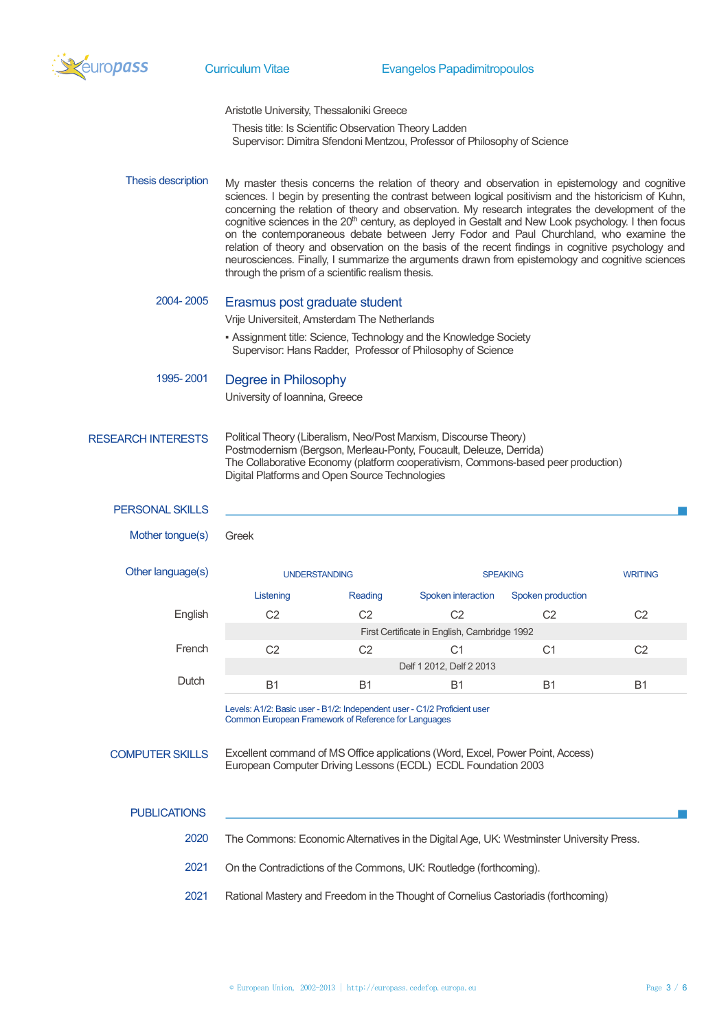

Curriculum Vitae Evangelos Papadimitropoulos

Aristotle University, Thessaloniki Greece Thesis title: Is Scientific Observation Theory Ladden Supervisor: Dimitra Sfendoni Mentzou, Professor of Philosophy of Science

Thesis description My master thesis concerns the relation of theory and observation in epistemology and cognitive sciences. I begin by presenting the contrast between logical positivism and the historicism of Kuhn, concerning the relation of theory and observation. My research integrates the development of the cognitive sciences in the 20<sup>th</sup> century, as deployed in Gestalt and New Look psychology. I then focus on the contemporaneous debate between Jerry Fodor and Paul Churchland, who examine the relation of theory and observation on the basis of the recent findings in cognitive psychology and neurosciences. Finally, I summarize the arguments drawn from epistemology and cognitive sciences through the prism of a scientific realism thesis.

# 2004- 2005 Erasmus post graduate student

Vrije Universiteit, Amsterdam The Netherlands

▪ Assignment title: Science, Technology and the Knowledge Society Supervisor: Hans Radder, Professor of Philosophy of Science

## 1995- 2001 Degree in Philosophy

University of Ioannina, Greece

#### RESEARCH INTERESTS Political Theory (Liberalism, Neo/Post Marxism, Discourse Theory) Postmodernism (Bergson, Merleau-Ponty, Foucault, Deleuze, Derrida) The Collaborative Economy (platform cooperativism, Commons-based peer production) Digital Platforms and Open Source Technologies

### PERSONAL SKILLS

Mother tongue(s) Greek

Other language(s) The UNDERSTANDING SPEAKING SPEAKING WRITING Listening Reading Spoken interaction Spoken production English C2 C2 C2 C2 C2 C2 First Certificate in English, Cambridge 1992 French C2 C2 C1 C1 C2 Delf 1 2012, Delf 2 2013 Dutch B1 B1 B1 B1 B1 B1

> Levels: A1/2: Basic user - B1/2: Independent user - C1/2 Proficient user Common European Framework of Reference for Languages

COMPUTER SKILLS Excellent command of MS Office applications (Word, Excel, Power Point, Access) European Computer Driving Lessons (ECDL) ECDL Foundation 2003

### **PUBLICATIONS**

- 2020 The Commons: Economic Alternatives in the Digital Age, UK: Westminster University Press.
- 2021 On the Contradictions of the Commons, UK: Routledge (forthcoming).
- 2021 Rational Mastery and Freedom in the Thought of Cornelius Castoriadis (forthcoming)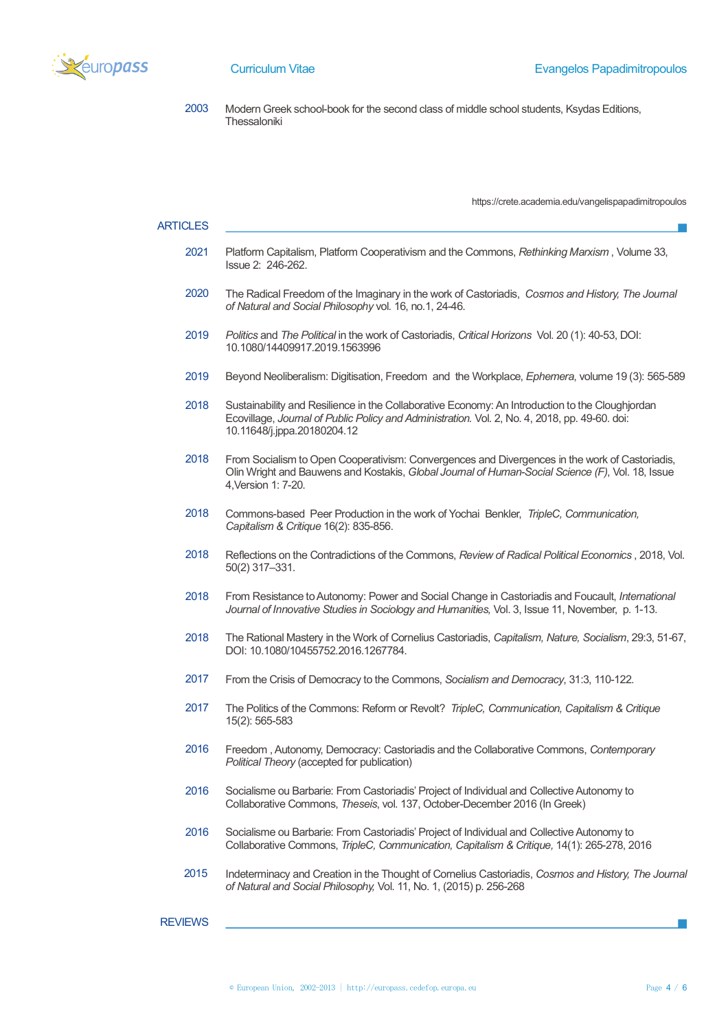

2003 Modern Greek school-book for the second class of middle school students, Ksydas Editions, Thessaloniki

https://crete.academia.edu/vangelispapadimitropoulos

#### **ARTICLES**

- 2021 Platform Capitalism, Platform Cooperativism and the Commons, *Rethinking Marxism* , Volume 33, Issue 2: 246-262.
- 2020 The Radical Freedom of the Imaginary in the work of Castoriadis, *Cosmos and History, The Journal of Natural and Social Philosophy* vol. 16, no.1, 24-46.
- 2019 *Politics* and *The Political* in the work of Castoriadis, *Critical Horizons* Vol. 20 (1): 40-53, DOI: 10.1080/14409917.2019.1563996
- 2019 Beyond Neoliberalism: Digitisation, Freedom and the Workplace, *Ephemera*, volume 19 (3): 565-589
- 2018 Sustainability and Resilience in the Collaborative Economy: An Introduction to the Cloughjordan Ecovillage, *Journal of Public Policy and Administration.* Vol. 2, No. 4, 2018, pp. 49-60. doi: 10.11648/j.jppa.20180204.12
- 2018 From Socialism to Open Cooperativism: Convergences and Divergences in the work of Castoriadis, Olin Wright and Bauwens and Kostakis, *Global Journal of Human-Social Science (F)*, Vol. 18, Issue 4,Version 1: 7-20.
- 2018 Commons-based Peer Production in the work of Yochai Benkler, *TripleC, Communication, Capitalism & Critique* 16(2): 835-856.
- 2018 Reflections on the Contradictions of the Commons, *Review of Radical Political Economics* , 2018, Vol. 50(2) 317–331.
- 2018 From Resistance to Autonomy: Power and Social Change in Castoriadis and Foucault, *International Journal of Innovative Studies in Sociology and Humanities,* Vol. 3, Issue 11, November, p. 1-13.
- 2018 The Rational Mastery in the Work of Cornelius Castoriadis, *Capitalism, Nature, Socialism*, 29:3, 51-67, DOI: 10.1080/10455752.2016.1267784.
- 2017 From the Crisis of Democracy to the Commons, *Socialism and Democracy*, 31:3, 110-122.
- 2017 The Politics of the Commons: Reform or Revolt? *TripleC, Communication, Capitalism & Critique*  15(2): 565-583
- 2016 Freedom , Autonomy, Democracy: Castoriadis and the Collaborative Commons, *Contemporary Political Theory* (accepted for publication)
- 2016 Socialisme ou Barbarie: From Castoriadis' Project of Individual and Collective Autonomy to Collaborative Commons, *Theseis*, vol. 137, October-December 2016 (In Greek)
- 2016 Socialisme ou Barbarie: From Castoriadis' Project of Individual and Collective Autonomy to Collaborative Commons, *TripleC, Communication, Capitalism & Critique,* 14(1): 265-278, 2016
- 2015 Indeterminacy and Creation in the Thought of Cornelius Castoriadis, *Cosmos and History, The Journal of Natural and Social Philosophy,* Vol. 11, No. 1, (2015) p. 256-268

## **REVIEWS**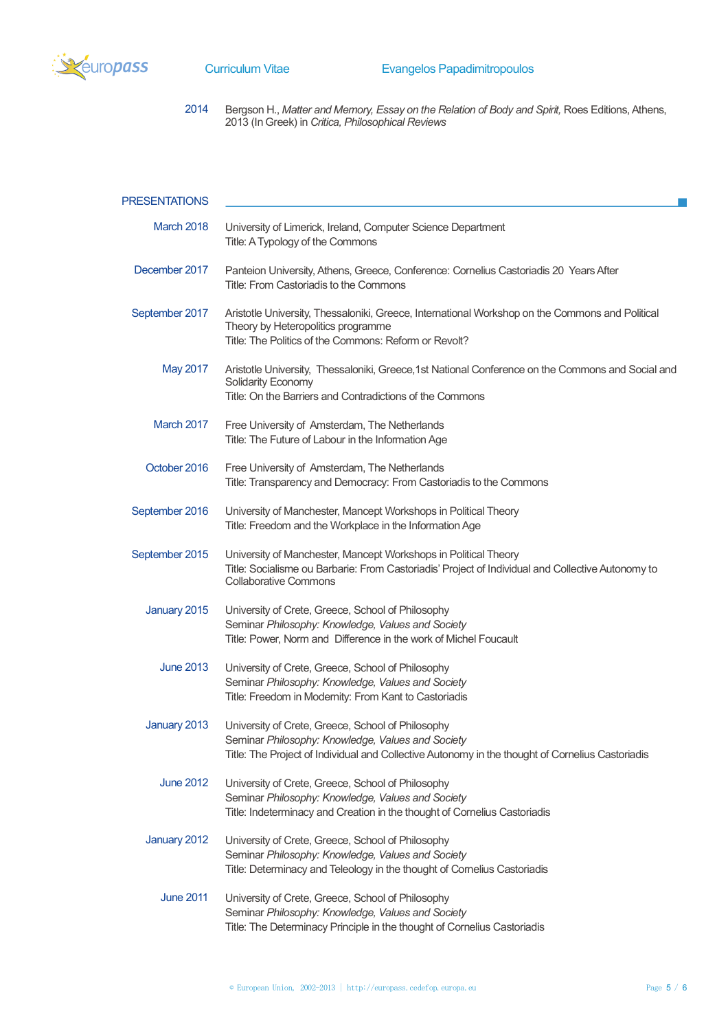

2014 Bergson H., *Matter and Memory, Essay on the Relation of Body and Spirit,* Roes Editions, Athens, 2013 (In Greek) in *Critica, Philosophical Reviews*

| <b>PRESENTATIONS</b> |                                                                                                                                                                                                            |
|----------------------|------------------------------------------------------------------------------------------------------------------------------------------------------------------------------------------------------------|
| March 2018           | University of Limerick, Ireland, Computer Science Department<br>Title: A Typology of the Commons                                                                                                           |
| December 2017        | Panteion University, Athens, Greece, Conference: Cornelius Castoriadis 20 Years After<br>Title: From Castoriadis to the Commons                                                                            |
| September 2017       | Aristotle University, Thessaloniki, Greece, International Workshop on the Commons and Political<br>Theory by Heteropolitics programme<br>Title: The Politics of the Commons: Reform or Revolt?             |
| <b>May 2017</b>      | Aristotle University, Thessaloniki, Greece, 1st National Conference on the Commons and Social and<br>Solidarity Economy<br>Title: On the Barriers and Contradictions of the Commons                        |
| March 2017           | Free University of Amsterdam, The Netherlands<br>Title: The Future of Labour in the Information Age                                                                                                        |
| October 2016         | Free University of Amsterdam, The Netherlands<br>Title: Transparency and Democracy: From Castoriadis to the Commons                                                                                        |
| September 2016       | University of Manchester, Mancept Workshops in Political Theory<br>Title: Freedom and the Workplace in the Information Age                                                                                 |
| September 2015       | University of Manchester, Mancept Workshops in Political Theory<br>Title: Socialisme ou Barbarie: From Castoriadis' Project of Individual and Collective Autonomy to<br><b>Collaborative Commons</b>       |
| January 2015         | University of Crete, Greece, School of Philosophy<br>Seminar Philosophy: Knowledge, Values and Society<br>Title: Power, Norm and Difference in the work of Michel Foucault                                 |
| <b>June 2013</b>     | University of Crete, Greece, School of Philosophy<br>Seminar Philosophy: Knowledge, Values and Society<br>Title: Freedom in Modernity: From Kant to Castoriadis                                            |
| January 2013         | University of Crete, Greece, School of Philosophy<br>Seminar Philosophy: Knowledge, Values and Society<br>Title: The Project of Individual and Collective Autonomy in the thought of Cornelius Castoriadis |
| <b>June 2012</b>     | University of Crete, Greece, School of Philosophy<br>Seminar Philosophy: Knowledge, Values and Society<br>Title: Indeterminacy and Creation in the thought of Cornelius Castoriadis                        |
| January 2012         | University of Crete, Greece, School of Philosophy<br>Seminar Philosophy: Knowledge, Values and Society<br>Title: Determinacy and Teleology in the thought of Cornelius Castoriadis                         |
| <b>June 2011</b>     | University of Crete, Greece, School of Philosophy<br>Seminar Philosophy: Knowledge, Values and Society<br>Title: The Determinacy Principle in the thought of Cornelius Castoriadis                         |